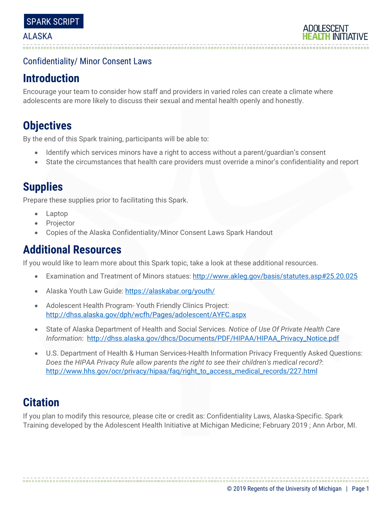# Confidentiality/ Minor Consent Laws

# **Introduction**

Encourage your team to consider how staff and providers in varied roles can create a climate where adolescents are more likely to discuss their sexual and mental health openly and honestly.

# **Objectives**

By the end of this Spark training, participants will be able to:

- Identify which services minors have a right to access without a parent/guardian's consent
- State the circumstances that health care providers must override a minor's confidentiality and report

# **Supplies**

Prepare these supplies prior to facilitating this Spark.

- Laptop
- **Projector**
- Copies of the Alaska Confidentiality/Minor Consent Laws Spark Handout

# **Additional Resources**

If you would like to learn more about this Spark topic, take a look at these additional resources.

- Examination and Treatment of Minors statues:<http://www.akleg.gov/basis/statutes.asp#25.20.025>
- Alaska Youth Law Guide[: https://alaskabar.org/youth/](https://alaskabar.org/youth/)
- Adolescent Health Program- Youth Friendly Clinics Project: <http://dhss.alaska.gov/dph/wcfh/Pages/adolescent/AYFC.aspx>
- State of Alaska Department of Health and Social Services. *Notice of Use Of Private Health Care Information*: [http://dhss.alaska.gov/dhcs/Documents/PDF/HIPAA/HIPAA\\_Privacy\\_Notice.pdf](http://dhss.alaska.gov/dhcs/Documents/PDF/HIPAA/HIPAA_Privacy_Notice.pdf)
- U.S. Department of Health & Human Services-Health Information Privacy Frequently Asked Questions: *Does the HIPAA Privacy Rule allow parents the right to see their children's medical record?*: [http://www.hhs.gov/ocr/privacy/hipaa/faq/right\\_to\\_access\\_medical\\_records/227.html](http://www.hhs.gov/ocr/privacy/hipaa/faq/right_to_access_medical_records/227.html)

# **Citation**

If you plan to modify this resource, please cite or credit as: Confidentiality Laws, Alaska-Specific. Spark Training developed by the Adolescent Health Initiative at Michigan Medicine; February 2019 ; Ann Arbor, MI.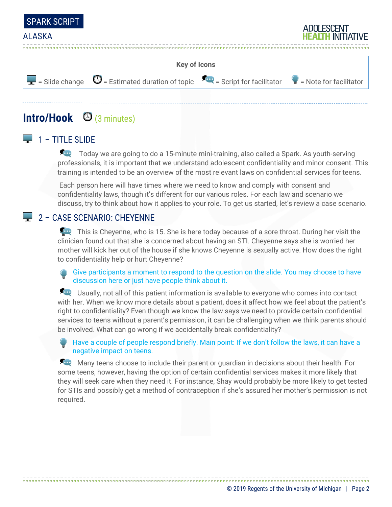



# **Intro/Hook** (3 minutes)

# $\Box$  1 – TITLE SLIDE

Today we are going to do a 15-minute mini-training, also called a Spark. As youth-serving professionals, it is important that we understand adolescent confidentiality and minor consent. This training is intended to be an overview of the most relevant laws on confidential services for teens.

Each person here will have times where we need to know and comply with consent and confidentiality laws, though it's different for our various roles. For each law and scenario we discuss, try to think about how it applies to your role. To get us started, let's review a case scenario.

### 2 – CASE SCENARIO: CHEYENNE

This is Cheyenne, who is 15. She is here today because of a sore throat. During her visit the clinician found out that she is concerned about having an STI. Cheyenne says she is worried her mother will kick her out of the house if she knows Cheyenne is sexually active. How does the right to confidentiality help or hurt Cheyenne?

Give participants a moment to respond to the question on the slide. You may choose to have discussion here or just have people think about it.

Usually, not all of this patient information is available to everyone who comes into contact with her. When we know more details about a patient, does it affect how we feel about the patient's right to confidentiality? Even though we know the law says we need to provide certain confidential services to teens without a parent's permission, it can be challenging when we think parents should be involved. What can go wrong if we accidentally break confidentiality?

Have a couple of people respond briefly. Main point: If we don't follow the laws, it can have a negative impact on teens.

Many teens choose to include their parent or quardian in decisions about their health. For some teens, however, having the option of certain confidential services makes it more likely that they will seek care when they need it. For instance, Shay would probably be more likely to get tested for STIs and possibly get a method of contraception if she's assured her mother's permission is not required.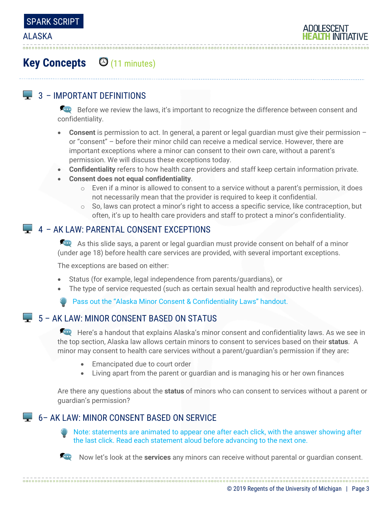

# **Key Concepts** (11 minutes)

# $\Box$  3 – IMPORTANT DEFINITIONS

Before we review the laws, it's important to recognize the difference between consent and confidentiality.

- **Consent** is permission to act. In general, a parent or legal guardian must give their permission or "consent" – before their minor child can receive a medical service. However, there are important exceptions where a minor can consent to their own care, without a parent's permission. We will discuss these exceptions today.
- **Confidentiality** refers to how health care providers and staff keep certain information private.
- **Consent does not equal confidentiality**.
	- $\circ$  Even if a minor is allowed to consent to a service without a parent's permission, it does not necessarily mean that the provider is required to keep it confidential.
	- $\circ$  So, laws can protect a minor's right to access a specific service, like contraception, but often, it's up to health care providers and staff to protect a minor's confidentiality.

### $\Box$  4 – AK LAW: PARENTAL CONSENT EXCEPTIONS

As this slide says, a parent or legal guardian must provide consent on behalf of a minor (under age 18) before health care services are provided, with several important exceptions.

The exceptions are based on either:

- Status (for example, legal independence from parents/guardians), or
- The type of service requested (such as certain sexual health and reproductive health services).

Pass out the "Alaska Minor Consent & Confidentiality Laws" handout.

# $\Box$  5 – AK LAW: MINOR CONSENT BASED ON STATUS

Here's a handout that explains Alaska's minor consent and confidentiality laws. As we see in the top section, Alaska law allows certain minors to consent to services based on their **status**. A minor may consent to health care services without a parent/guardian's permission if they are**:**

- Emancipated due to court order
- Living apart from the parent or guardian and is managing his or her own finances

Are there any questions about the **status** of minors who can consent to services without a parent or guardian's permission?

### 6– AK LAW: MINOR CONSENT BASED ON SERVICE

Note: statements are animated to appear one after each click, with the answer showing after the last click. Read each statement aloud before advancing to the next one.



Now let's look at the **services** any minors can receive without parental or guardian consent.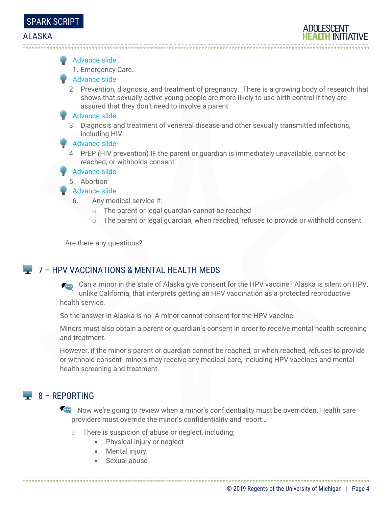#### Advance slide

1. Emergency Care.

#### Advance slide

2. Prevention, diagnosis, and treatment of pregnancy. There is a growing body of research that shows that sexually active young people are more likely to use birth control if they are assured that they don't need to involve a parent.

#### Advance slide

3. Diagnosis and treatment of venereal disease and other sexually transmitted infections, including HIV.

#### Advance slide

4. PrEP (HIV prevention) IF the parent or guardian is immediately unavailable, cannot be reached, or withholds consent.

#### **Advance slide**

5. Abortion

#### Advance slide

- 6. Any medical service if:
	- o The parent or legal guardian cannot be reached
	- o The parent or legal guardian, when reached, refuses to provide or withhold consent

Are there any questions?

### **4** 7 – HPV VACCINATIONS & MENTAL HEALTH MEDS

Can a minor in the state of Alaska give consent for the HPV vaccine? Alaska is silent on HPV, unlike California, that interprets getting an HPV vaccination as a protected reproductive health service.

So the answer in Alaska is no. A minor cannot consent for the HPV vaccine.

Minors must also obtain a parent or guardian's consent in order to receive mental health screening and treatment.

However, if the minor's parent or guardian cannot be reached, or when reached, refuses to provide or withhold consent- minors may receive any medical care, including HPV vaccines and mental health screening and treatment.

### $\Box$  8 – REPORTING

Now we're going to review when a minor's confidentiality must be overridden. Health care providers must override the minor's confidentiality and report…

- o There is suspicion of abuse or neglect, including;
	- Physical injury or neglect
	- Mental injury
	- Sexual abuse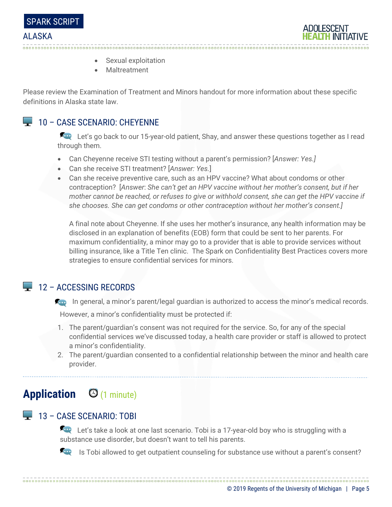



- Sexual exploitation
- Maltreatment

Please review the Examination of Treatment and Minors handout for more information about these specific definitions in Alaska state law.

# **10 - CASE SCENARIO: CHEYENNE**

Let's go back to our 15-year-old patient, Shay, and answer these questions together as I read through them.

- Can Cheyenne receive STI testing without a parent's permission? [*Answer: Yes.]*
- Can she receive STI treatment? [*Answer: Yes.*]
- Can she receive preventive care, such as an HPV vaccine? What about condoms or other contraception? [*Answer*: *She can't get an HPV vaccine without her mother's consent, but if her mother cannot be reached, or refuses to give or withhold consent, she can get the HPV vaccine if she chooses. She can get condoms or other contraception without her mother's consent.]*

A final note about Cheyenne. If she uses her mother's insurance, any health information may be disclosed in an explanation of benefits (EOB) form that could be sent to her parents. For maximum confidentiality, a minor may go to a provider that is able to provide services without billing insurance, like a Title Ten clinic. The Spark on Confidentiality Best Practices covers more strategies to ensure confidential services for minors.

### $12 -$  ACCESSING RECORDS

**In general, a minor's parent/legal guardian is authorized to access the minor's medical records.** 

However, a minor's confidentiality must be protected if:

- 1. The parent/guardian's consent was not required for the service. So, for any of the special confidential services we've discussed today, a health care provider or staff is allowed to protect a minor's confidentiality.
- 2. The parent/guardian consented to a confidential relationship between the minor and health care provider.

# **Application** (1 minute)

### 13 – CASE SCENARIO: TOBI

Let's take a look at one last scenario. Tobi is a 17-year-old boy who is struggling with a substance use disorder, but doesn't want to tell his parents.



Is Tobi allowed to get outpatient counseling for substance use without a parent's consent?